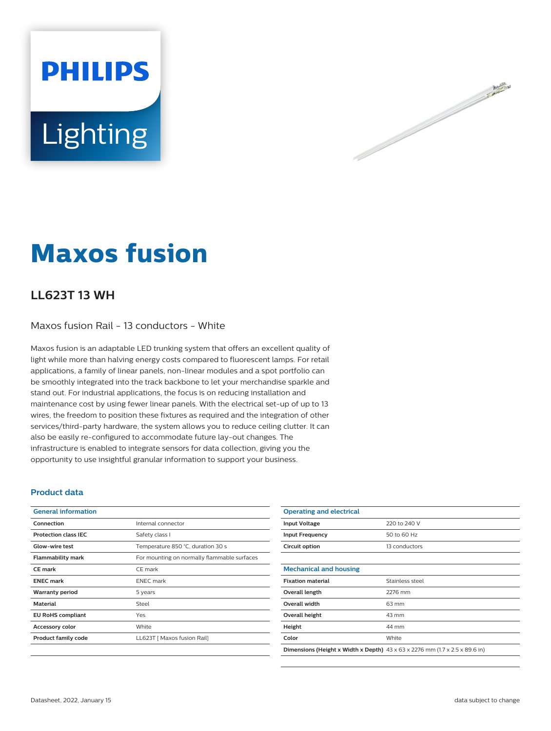



# **Maxos fusion**

## **LL623T 13 WH**

Maxos fusion Rail - 13 conductors - White

Maxos fusion is an adaptable LED trunking system that offers an excellent quality of light while more than halving energy costs compared to fluorescent lamps. For retail applications, a family of linear panels, non-linear modules and a spot portfolio can be smoothly integrated into the track backbone to let your merchandise sparkle and stand out. For industrial applications, the focus is on reducing installation and maintenance cost by using fewer linear panels. With the electrical set-up of up to 13 wires, the freedom to position these fixtures as required and the integration of other services/third-party hardware, the system allows you to reduce ceiling clutter. It can also be easily re-configured to accommodate future lay-out changes. The infrastructure is enabled to integrate sensors for data collection, giving you the opportunity to use insightful granular information to support your business.

#### **Product data**

| <b>General information</b>  |                                             |
|-----------------------------|---------------------------------------------|
| Connection                  | Internal connector                          |
| <b>Protection class IEC</b> | Safety class I                              |
| Glow-wire test              | Temperature 850 °C, duration 30 s           |
| <b>Flammability mark</b>    | For mounting on normally flammable surfaces |
| <b>CE</b> mark              | CE mark                                     |
| <b>ENEC mark</b>            | <b>ENEC</b> mark                            |
| <b>Warranty period</b>      | 5 years                                     |
| <b>Material</b>             | Steel                                       |
| <b>EU RoHS compliant</b>    | Yes                                         |
| <b>Accessory color</b>      | White                                       |
| Product family code         | LL623T   Maxos fusion Rail]                 |
|                             |                                             |

| <b>Operating and electrical</b>                                                                |                 |  |
|------------------------------------------------------------------------------------------------|-----------------|--|
| <b>Input Voltage</b>                                                                           | 220 to 240 V    |  |
| <b>Input Frequency</b>                                                                         | 50 to 60 Hz     |  |
| Circuit option                                                                                 | 13 conductors   |  |
|                                                                                                |                 |  |
| <b>Mechanical and housing</b>                                                                  |                 |  |
| <b>Fixation material</b>                                                                       | Stainless steel |  |
| Overall length                                                                                 | 2276 mm         |  |
| <b>Overall width</b>                                                                           | 63 mm           |  |
| Overall height                                                                                 | 43 mm           |  |
| Height                                                                                         | 44 mm           |  |
| Color                                                                                          | White           |  |
| <b>Dimensions (Height x Width x Depth)</b> $43 \times 63 \times 2276$ mm (1.7 x 2.5 x 89.6 in) |                 |  |